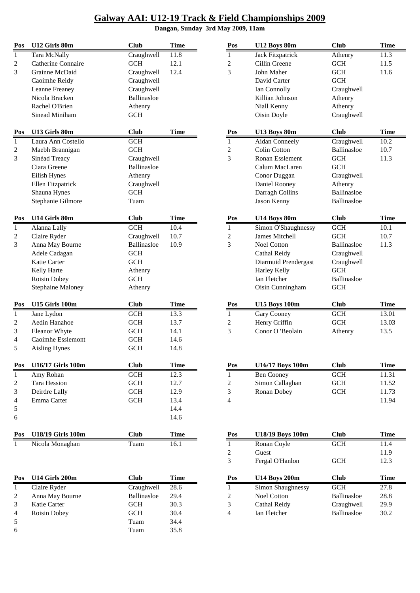#### **Dangan, Sunday 3rd May 2009, 11am**

| Pos              | U12 Girls 80m            | <b>Club</b> | <b>Time</b> | Pos                     | U12 Boys 80m            | <b>Club</b> | <b>Time</b> |
|------------------|--------------------------|-------------|-------------|-------------------------|-------------------------|-------------|-------------|
| 1                | Tara McNally             | Craughwell  | 11.8        | 1                       | Jack Fitzpatrick        | Athenry     | 11.3        |
| 2                | Catherine Connaire       | <b>GCH</b>  | 12.1        | $\overline{c}$          | Cillin Greene           | <b>GCH</b>  | 11.5        |
| 3                | Grainne McDaid           | Craughwell  | 12.4        | 3                       | John Maher              | <b>GCH</b>  | 11.6        |
|                  | Caoimhe Reidy            | Craughwell  |             |                         | David Carter            | <b>GCH</b>  |             |
|                  | <b>Leanne Freaney</b>    | Craughwell  |             |                         | Ian Connolly            | Craughwell  |             |
|                  | Nicola Bracken           | Ballinasloe |             |                         | Killian Johnson         | Athenry     |             |
|                  | Rachel O'Brien           | Athenry     |             |                         | Niall Kenny             | Athenry     |             |
|                  | Sinead Miniham           | <b>GCH</b>  |             |                         | Oisin Doyle             | Craughwell  |             |
| Pos              | U13 Girls 80m            | <b>Club</b> | <b>Time</b> | Pos                     | U13 Boys 80m            | <b>Club</b> | <b>Time</b> |
| $\mathbf{1}$     | Laura Ann Costello       | GCH         |             | $\overline{1}$          | <b>Aidan Conneely</b>   | Craughwell  | 10.2        |
| $\boldsymbol{2}$ | Maebh Brannigan          | <b>GCH</b>  |             | $\sqrt{2}$              | <b>Colin Cotton</b>     | Ballinasloe | 10.7        |
| 3                | Sinéad Treacy            | Craughwell  |             | 3                       | Ronan Esslement         | <b>GCH</b>  | 11.3        |
|                  | Ciara Greene             | Ballinasloe |             |                         | Calum MacLaren          | <b>GCH</b>  |             |
|                  | Eilish Hynes             | Athenry     |             |                         | Conor Duggan            | Craughwell  |             |
|                  | Ellen Fitzpatrick        | Craughwell  |             |                         | Daniel Rooney           | Athenry     |             |
|                  | Shauna Hynes             | <b>GCH</b>  |             |                         | Darragh Collins         | Ballinasloe |             |
|                  | Stephanie Gilmore        | Tuam        |             |                         | Jason Kenny             | Ballinasloe |             |
| Pos              | U14 Girls 80m            | <b>Club</b> | <b>Time</b> | Pos                     | U14 Boys 80m            | <b>Club</b> | <b>Time</b> |
| $\mathbf{1}$     | Alanna Lally             | GCH         | 10.4        | $\mathbf{1}$            | Simon O'Shaughnessy     | <b>GCH</b>  | 10.1        |
| $\mathbf{2}$     | Claire Ryder             | Craughwell  | 10.7        | $\overline{c}$          | <b>James Mitchell</b>   | <b>GCH</b>  | 10.7        |
| 3                | Anna May Bourne          | Ballinasloe | 10.9        | 3                       | Noel Cotton             | Ballinasloe | 11.3        |
|                  | Adele Cadagan            | <b>GCH</b>  |             |                         | Cathal Reidy            | Craughwell  |             |
|                  | Katie Carter             | <b>GCH</b>  |             |                         | Diarmuid Prendergast    | Craughwell  |             |
|                  | Kelly Harte              | Athenry     |             |                         | Harley Kelly            | <b>GCH</b>  |             |
|                  | Roisin Dobey             | <b>GCH</b>  |             |                         | Ian Fletcher            | Ballinasloe |             |
|                  | Stephaine Maloney        | Athenry     |             |                         | Oisin Cunningham        | <b>GCH</b>  |             |
| Pos              | U15 Girls 100m           | <b>Club</b> | <b>Time</b> | Pos                     | <b>U15 Boys 100m</b>    | <b>Club</b> | <b>Time</b> |
| $\mathbf{1}$     | Jane Lydon               | <b>GCH</b>  | 13.3        | $\mathbf{1}$            | <b>Gary Cooney</b>      | <b>GCH</b>  | 13.01       |
| $\overline{c}$   | Aedin Hanahoe            | <b>GCH</b>  | 13.7        | $\boldsymbol{2}$        | Henry Griffin           | <b>GCH</b>  | 13.03       |
| 3                | Eleanor Whyte            | <b>GCH</b>  | 14.1        | 3                       | Conor O 'Beolain        | Athenry     | 13.5        |
| 4                | Caoimhe Esslemont        | <b>GCH</b>  | 14.6        |                         |                         |             |             |
| 5                | <b>Aisling Hynes</b>     | <b>GCH</b>  | 14.8        |                         |                         |             |             |
|                  |                          |             |             |                         |                         |             |             |
| Pos              | <b>U16/17 Girls 100m</b> | <b>Club</b> | <b>Time</b> | Pos                     | U16/17 Boys 100m        | <b>Club</b> | <b>Time</b> |
| $\mathbf{1}$     | Amy Rohan                | GCH         | 12.3        | $\overline{1}$          | <b>Ben Cooney</b>       | GCH         | 11.31       |
| 2                | Tara Hession             | <b>GCH</b>  | 12.7        | $\overline{c}$          | Simon Callaghan         | <b>GCH</b>  | 11.52       |
| 3                | Deirdre Lally            | <b>GCH</b>  | 12.9        | 3                       | Ronan Dobey             | <b>GCH</b>  | 11.73       |
| 4                | Emma Carter              | <b>GCH</b>  | 13.4        | 4                       |                         |             | 11.94       |
| 5                |                          |             | 14.4        |                         |                         |             |             |
| 6                |                          |             | 14.6        |                         |                         |             |             |
| Pos              | <b>U18/19 Girls 100m</b> | <b>Club</b> | <b>Time</b> | Pos                     | <b>U18/19 Boys 100m</b> | <b>Club</b> | <b>Time</b> |
| 1                | Nicola Monaghan          | Tuam        | 16.1        | $\mathbf{1}$            | Ronan Coyle             | <b>GCH</b>  | 11.4        |
|                  |                          |             |             | $\sqrt{2}$              | Guest                   |             | 11.9        |
|                  |                          |             |             | 3                       | Fergal O'Hanlon         | <b>GCH</b>  | 12.3        |
| Pos              | U14 Girls 200m           | <b>Club</b> | <b>Time</b> | Pos                     | <b>U14 Boys 200m</b>    | <b>Club</b> | <b>Time</b> |
| 1                | Claire Ryder             | Craughwell  | 28.6        | $\mathbf{1}$            | Simon Shaughnessy       | <b>GCH</b>  | 27.8        |
| 2                | Anna May Bourne          | Ballinasloe | 29.4        | $\overline{\mathbf{c}}$ | <b>Noel Cotton</b>      | Ballinasloe | 28.8        |
| 3                | Katie Carter             | <b>GCH</b>  | 30.3        | 3                       | Cathal Reidy            | Craughwell  | 29.9        |

4 Roisin Dobey GCH 30.4 4 Ian Fletcher Ballinasloe 30.2<br>5 Tuam 34.4

5 Tuam 34.4 6 Tuam 35.8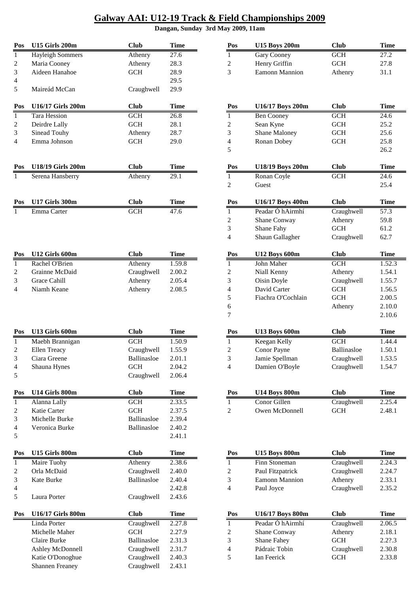| Pos                      | U15 Girls 200m                    | <b>Club</b>               | <b>Time</b>           | Pos                 | <b>U15 Boys 200m</b>                 | <b>Club</b>               | <b>Time</b>           |
|--------------------------|-----------------------------------|---------------------------|-----------------------|---------------------|--------------------------------------|---------------------------|-----------------------|
| 1                        | <b>Hayleigh Sommers</b>           | Athenry                   | 27.6                  | $\mathbf{1}$        | Gary Cooney                          | <b>GCH</b>                | 27.2                  |
| $\overline{2}$           | Maria Cooney                      | Athenry                   | 28.3                  | 2                   | Henry Griffin                        | <b>GCH</b>                | 27.8                  |
| 3                        | Aideen Hanahoe                    | <b>GCH</b>                | 28.9                  | 3                   | Eamonn Mannion                       | Athenry                   | 31.1                  |
| $\overline{\mathcal{L}}$ |                                   |                           | 29.5                  |                     |                                      |                           |                       |
| 5                        | Maireád McCan                     | Craughwell                | 29.9                  |                     |                                      |                           |                       |
| Pos                      | U16/17 Girls 200m                 | <b>Club</b>               | <b>Time</b>           | Pos                 | U16/17 Boys 200m                     | <b>Club</b>               | <b>Time</b>           |
| $\mathbf{1}$             | Tara Hession                      | $\overline{GCH}$          | 26.8                  | 1                   | <b>Ben Cooney</b>                    | GCH                       | 24.6                  |
| $\overline{c}$           | Deirdre Lally                     | <b>GCH</b>                | 28.1                  | $\overline{c}$      | Sean Kyne                            | <b>GCH</b>                | 25.2                  |
| 3                        | Sinead Touhy                      | Athenry                   | 28.7                  | 3                   | Shane Maloney                        | <b>GCH</b>                | 25.6                  |
| 4                        | Emma Johnson                      | <b>GCH</b>                | 29.0                  | 4                   | Ronan Dobey                          | GCH                       | 25.8                  |
|                          |                                   |                           |                       | 5                   |                                      |                           | 26.2                  |
| Pos                      | <b>U18/19 Girls 200m</b>          | <b>Club</b>               | <b>Time</b>           | Pos                 | U18/19 Boys 200m                     | <b>Club</b>               | <b>Time</b>           |
| 1                        | Serena Hansberry                  | Athenry                   | 29.1                  | $\mathbf{1}$        | Ronan Coyle                          | <b>GCH</b>                | 24.6                  |
|                          |                                   |                           |                       | $\overline{c}$      | Guest                                |                           | 25.4                  |
| Pos                      | <b>U17 Girls 300m</b>             | <b>Club</b>               | <b>Time</b>           | Pos                 | U16/17 Boys 400m                     | <b>Club</b>               | <b>Time</b>           |
| 1                        | Emma Carter                       | GCH                       | 47.6                  | $\mathbf{1}$        | Peadar Ó hAirmhí                     | Craughwell                | 57.3                  |
|                          |                                   |                           |                       | 2                   | Shane Conway                         | Athenry                   | 59.8                  |
|                          |                                   |                           |                       | 3                   | Shane Fahy                           | <b>GCH</b>                | 61.2                  |
|                          |                                   |                           |                       | $\overline{4}$      | Shaun Gallagher                      | Craughwell                | 62.7                  |
| Pos                      | U12 Girls 600m                    | <b>Club</b>               | <b>Time</b>           | Pos                 | <b>U12 Boys 600m</b>                 | <b>Club</b>               | <b>Time</b>           |
| $\mathbf{1}$             | Rachel O'Brien                    | Athenry                   | 1.59.8                | $\mathbf{1}$        | John Maher                           | GCH                       | 1.52.3                |
| 2                        | Grainne McDaid                    | Craughwell                | 2.00.2                | $\boldsymbol{2}$    | Niall Kenny                          | Athenry                   | 1.54.1                |
| 3                        | Grace Cahill                      | Athenry                   | 2.05.4                | 3                   | Oisin Doyle                          | Craughwell                | 1.55.7                |
| 4                        | Niamh Keane                       | Athenry                   | 2.08.5                | 4                   | David Carter                         | <b>GCH</b>                | 1.56.5                |
|                          |                                   |                           |                       | 5                   | Fiachra O'Cochlain                   | GCH                       | 2.00.5                |
|                          |                                   |                           |                       | 6                   |                                      | Athenry                   | 2.10.0                |
|                          |                                   |                           |                       | 7                   |                                      |                           | 2.10.6                |
| Pos                      | U13 Girls 600m                    | <b>Club</b>               | <b>Time</b>           | Pos                 | <b>U13 Boys 600m</b>                 | <b>Club</b>               | <b>Time</b>           |
| $\mathbf{1}$             | Maebh Brannigan                   | <b>GCH</b>                | 1.50.9                | $\mathbf{1}$        | Keegan Kelly                         | <b>GCH</b>                | 1.44.4                |
| 2                        | Ellen Treacy                      | Craughwell                | 1.55.9                | $\overline{c}$      | Conor Payne                          | Ballinasloe               | 1.50.1                |
| 3                        | Ciara Greene                      | Ballinasloe               | 2.01.1                | $\mathfrak{Z}$      | Jamie Spellman                       | Craughwell                | 1.53.5                |
| $\overline{4}$           | Shauna Hynes                      | <b>GCH</b>                | 2.04.2                | 4                   | Damien O'Boyle                       | Craughwell                | 1.54.7                |
| 5                        |                                   | Craughwell                | 2.06.4                |                     |                                      |                           |                       |
| Pos                      | U14 Girls 800m                    | <b>Club</b>               | <b>Time</b>           | Pos                 | <b>U14 Boys 800m</b>                 | <b>Club</b>               | <b>Time</b>           |
| $\mathbf{1}$             | Alanna Lally                      | GCH                       | 2.33.5                | $\mathbf{1}$        | Conor Gillen                         | Craughwell                | 2.25.4                |
| 2                        | Katie Carter                      | <b>GCH</b>                | 2.37.5                | $\mathbf{2}$        | Owen McDonnell                       | GCH                       | 2.48.1                |
| 3                        | Michelle Burke                    | Ballinasloe               | 2.39.4                |                     |                                      |                           |                       |
| 4<br>5                   | Veronica Burke                    | Ballinasloe               | 2.40.2<br>2.41.1      |                     |                                      |                           |                       |
| Pos                      | <b>U15 Girls 800m</b>             | <b>Club</b>               | <b>Time</b>           |                     | <b>U15 Boys 800m</b>                 | <b>Club</b>               | <b>Time</b>           |
|                          |                                   |                           | 2.38.6                | Pos                 | Finn Stoneman                        | Craughwell                | 2.24.3                |
| $\mathbf{1}$             | Maire Tuohy<br>Orla McDaid        | Athenry                   | 2.40.0                | $\mathbf{1}$        | Paul Fitzpatrick                     |                           | 2.24.7                |
| 2                        | Kate Burke                        | Craughwell<br>Ballinasloe | 2.40.4                | $\overline{c}$<br>3 | <b>Eamonn Mannion</b>                | Craughwell<br>Athenry     | 2.33.1                |
| 3                        |                                   |                           | 2.42.8                |                     | Paul Joyce                           | Craughwell                | 2.35.2                |
| 4<br>5                   | Laura Porter                      | Craughwell                | 2.43.6                | $\overline{4}$      |                                      |                           |                       |
|                          |                                   |                           |                       |                     |                                      |                           |                       |
| Pos                      | U16/17 Girls 800m<br>Linda Porter | <b>Club</b><br>Craughwell | <b>Time</b><br>2.27.8 | Pos<br>$\mathbf{1}$ | U16/17 Boys 800m<br>Peadar Ó hAirmhí | <b>Club</b><br>Craughwell | <b>Time</b><br>2.06.5 |
|                          | Michelle Maher                    | $GCH$                     | 2.27.9                | $\overline{c}$      | Shane Conway                         | Athenry                   | 2.18.1                |
|                          | Claire Burke                      | Ballinasloe               | 2.31.3                | 3                   | Shane Fahey                          | <b>GCH</b>                | 2.2?.3                |
|                          | Ashley McDonnell                  | Craughwell                | 2.31.7                | $\overline{4}$      | Pádraic Tobin                        | Craughwell                | 2.30.8                |
|                          | Katie O'Donoghue                  | Craughwell                | 2.40.3                | 5                   | Ian Feerick                          | <b>GCH</b>                | 2.33.8                |
|                          | <b>Shannen Freaney</b>            | Craughwell                | 2.43.1                |                     |                                      |                           |                       |

| Pos                     | <b>U15 Boys 200m</b> | Club        | <b>Time</b>       |  |  |
|-------------------------|----------------------|-------------|-------------------|--|--|
| $\mathbf{1}$            | Gary Cooney          | <b>GCH</b>  | 27.2              |  |  |
| $\overline{\mathbf{c}}$ | Henry Griffin        | <b>GCH</b>  | 27.8              |  |  |
| 3                       | Eamonn Mannion       | Athenry     | 31.1              |  |  |
|                         |                      |             |                   |  |  |
|                         |                      |             |                   |  |  |
|                         |                      |             |                   |  |  |
| Pos                     | U16/17 Boys 200m     | <b>Club</b> | Time              |  |  |
| 1                       | <b>Ben Cooney</b>    | <b>GCH</b>  | 24.6              |  |  |
| $\overline{c}$          | Sean Kyne            | <b>GCH</b>  | 25.2              |  |  |
| 3                       | <b>Shane Maloney</b> | <b>GCH</b>  | 25.6              |  |  |
| $\overline{4}$          | Ronan Dobey          | <b>GCH</b>  | 25.8              |  |  |
| 5                       |                      |             | 26.2              |  |  |
|                         |                      |             |                   |  |  |
| Pos                     | U18/19 Boys 200m     | <b>Club</b> | Time              |  |  |
| 1                       | Ronan Coyle          | <b>GCH</b>  | $\overline{24.6}$ |  |  |
| $\overline{c}$          | Guest                |             | 25.4              |  |  |
|                         |                      |             |                   |  |  |
| Pos                     | U16/17 Boys 400m     | <b>Club</b> | <b>Time</b>       |  |  |
| $\mathbf{1}$            | Peadar Ó hAirmhí     | Craughwell  | 57.3              |  |  |
| $\overline{c}$          | Shane Conway         | Athenry     | 59.8              |  |  |
| 3                       | <b>Shane Fahy</b>    | <b>GCH</b>  | 61.2              |  |  |
| $\overline{4}$          | Shaun Gallagher      | Craughwell  | 62.7              |  |  |
|                         |                      |             |                   |  |  |
| Pos                     | <b>U12 Boys 600m</b> | <b>Club</b> | Time              |  |  |
| $\mathbf{1}$            | John Maher           | <b>GCH</b>  | 1.52.3            |  |  |
| 2                       | Niall Kenny          | Athenry     | 1.54.1            |  |  |
| 3                       | Oisin Doyle          | Craughwell  | 1.55.7            |  |  |
| $\overline{4}$          | David Carter         | <b>GCH</b>  | 1.56.5            |  |  |
| 5                       | Fiachra O'Cochlain   | <b>GCH</b>  | 2.00.5            |  |  |
| 6                       |                      | Athenry     | 2.10.0            |  |  |
| 7                       |                      |             | 2.10.6            |  |  |
|                         |                      |             |                   |  |  |
| Pos                     | <b>U13 Boys 600m</b> | <b>Club</b> | <b>Time</b>       |  |  |
| 1                       | Keegan Kelly         | <b>GCH</b>  | 1.44.4            |  |  |
| $\overline{c}$          | Conor Payne          | Ballinasloe | 1.50.1            |  |  |
| 3                       | Jamie Spellman       | Craughwell  | 1.53.5            |  |  |
| 4                       | Damien O'Boyle       | Craughwell  | 1.54.7            |  |  |
|                         |                      |             |                   |  |  |
|                         |                      |             |                   |  |  |
| Pos                     | <b>U14 Boys 800m</b> | <b>Club</b> | Time              |  |  |
| $\mathbf{1}$            | Conor Gillen         | Craughwell  | 2.25.4            |  |  |
| 2                       | Owen McDonnell       | <b>GCH</b>  | 2.48.1            |  |  |
|                         |                      |             |                   |  |  |
|                         |                      |             |                   |  |  |
|                         |                      |             |                   |  |  |
|                         |                      |             |                   |  |  |
| Pos                     | <b>U15 Boys 800m</b> | <b>Club</b> | Time              |  |  |

| Maire Tuohy       | Athenry            | 2.38.6      |     | Finn Stoneman       | Craughwell  | 2.24.3 |
|-------------------|--------------------|-------------|-----|---------------------|-------------|--------|
| Orla McDaid       | Craughwell         | 2.40.0      | 2   | Paul Fitzpatrick    | Craughwell  | 2.24.7 |
| Kate Burke        | Ballinasloe        | 2.40.4      | 3   | Eamonn Mannion      | Athenry     | 2.33.1 |
|                   |                    | 2.42.8      | 4   | Paul Joyce          | Craughwell  | 2.35.2 |
| Laura Porter      | Craughwell         | 2.43.6      |     |                     |             |        |
| U16/17 Girls 800m | <b>Club</b>        | <b>Time</b> | Pos | U16/17 Boys 800m    | <b>Club</b> | Time   |
|                   |                    |             |     |                     |             |        |
| Linda Porter      | Craughwell         | 2.27.8      |     | Peadar Ó hAirmhí    | Craughwell  | 2.06.5 |
| Michelle Maher    | <b>GCH</b>         | 2.27.9      | 2   | <b>Shane Conway</b> | Athenry     | 2.18.1 |
| Claire Burke      | <b>Ballinasloe</b> | 2.31.3      | 3   | <b>Shane Fahey</b>  | GCH         | 2.2?.3 |
| Ashley McDonnell  | Craughwell         | 2.31.7      | 4   | Pádraic Tobin       | Craughwell  | 2.30.8 |
| Katie O'Donoghue  | Craughwell         | 2.40.3      |     | Ian Feerick         | <b>GCH</b>  | 2.33.8 |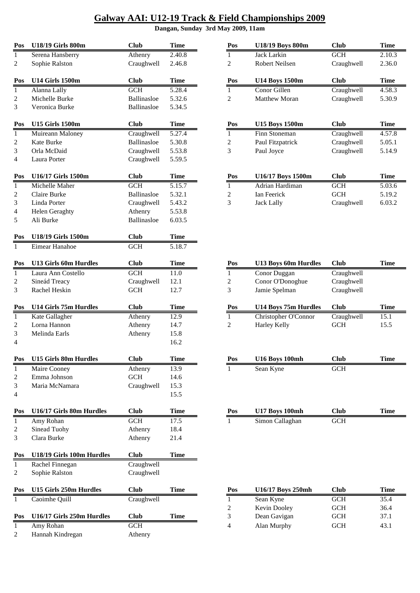| Pos            | <b>U18/19 Girls 800m</b>     | <b>Club</b> | <b>Time</b> | Pos              | <b>U18/19 Boys 800m</b> | <b>Club</b> | <b>Time</b> |
|----------------|------------------------------|-------------|-------------|------------------|-------------------------|-------------|-------------|
| $\mathbf{1}$   | Serena Hansberry             | Athenry     | 2.40.8      | $\mathbf{1}$     | Jack Larkin             | GCH         | 2.10.3      |
| 2              | Sophie Ralston               | Craughwell  | 2.46.8      | $\mathbf{2}$     | Robert Neilsen          | Craughwell  | 2.36.0      |
| Pos            | <b>U14 Girls 1500m</b>       | <b>Club</b> | <b>Time</b> | Pos              | <b>U14 Boys 1500m</b>   | <b>Club</b> | <b>Time</b> |
| $\mathbf{1}$   | Alanna Lally                 | GCH         | 5.28.4      | 1                | Conor Gillen            | Craughwell  | 4.58.3      |
| 2              | Michelle Burke               | Ballinasloe | 5.32.6      | $\overline{c}$   | Matthew Moran           | Craughwell  | 5.30.9      |
| 3              | Veronica Burke               | Ballinasloe | 5.34.5      |                  |                         |             |             |
| Pos            | <b>U15 Girls 1500m</b>       | <b>Club</b> | <b>Time</b> | Pos              | <b>U15 Boys 1500m</b>   | <b>Club</b> | <b>Time</b> |
| 1              | Muireann Maloney             | Craughwell  | 5.27.4      | $\mathbf{1}$     | Finn Stoneman           | Craughwell  | 4.57.8      |
| $\overline{c}$ | Kate Burke                   | Ballinasloe | 5.30.8      | $\mathbf{2}$     | Paul Fitzpatrick        | Craughwell  | 5.05.1      |
| 3              | Orla McDaid                  | Craughwell  | 5.53.8      | 3                | Paul Joyce              | Craughwell  | 5.14.9      |
| 4              | Laura Porter                 | Craughwell  | 5.59.5      |                  |                         |             |             |
| Pos            | U16/17 Girls 1500m           | <b>Club</b> | <b>Time</b> | Pos              | U16/17 Boys 1500m       | <b>Club</b> | <b>Time</b> |
| $\mathbf{1}$   | Michelle Maher               | <b>GCH</b>  | 5.15.7      | $\mathbf{1}$     | Adrian Hardiman         | <b>GCH</b>  | 5.03.6      |
| $\overline{c}$ | Claire Burke                 | Ballinasloe | 5.32.1      | 2                | Ian Feerick             | GCH         | 5.19.2      |
| 3              | Linda Porter                 | Craughwell  | 5.43.2      | 3                | <b>Jack Lally</b>       | Craughwell  | 6.03.2      |
| 4              | <b>Helen Geraghty</b>        | Athenry     | 5.53.8      |                  |                         |             |             |
| 5              | Ali Burke                    | Ballinasloe | 6.03.5      |                  |                         |             |             |
| Pos            | U18/19 Girls 1500m           | <b>Club</b> | <b>Time</b> |                  |                         |             |             |
| 1              | Eimear Hanahoe               | GCH         | 5.18.7      |                  |                         |             |             |
| Pos            | <b>U13 Girls 60m Hurdles</b> | <b>Club</b> | <b>Time</b> | Pos              | U13 Boys 60m Hurdles    | <b>Club</b> | <b>Time</b> |
| 1              | Laura Ann Costello           | GCH         | 11.0        | $\mathbf{1}$     | Conor Duggan            | Craughwell  |             |
|                |                              |             | 12.1        |                  | Conor O'Donoghue        |             |             |
| $\overline{c}$ | Sineád Treacy                | Craughwell  |             | $\boldsymbol{2}$ |                         | Craughwell  |             |
| 3              | Rachel Heskin                | <b>GCH</b>  | 12.7        | 3                | Jamie Spelman           | Craughwell  |             |
| Pos            | U14 Girls 75m Hurdles        | <b>Club</b> | <b>Time</b> | Pos              | U14 Boys 75m Hurdles    | <b>Club</b> | <b>Time</b> |
| $\mathbf{1}$   | Kate Gallagher               | Athenry     | 12.9        | $\overline{1}$   | Christopher O'Connor    | Craughwell  | 15.1        |
| $\overline{c}$ | Lorna Hannon                 | Athenry     | 14.7        | $\overline{c}$   | Harley Kelly            | $GCH$       | 15.5        |
| 3              | Melinda Earls                | Athenry     | 15.8        |                  |                         |             |             |
| $\overline{4}$ |                              |             | 16.2        |                  |                         |             |             |
| Pos            | <b>U15 Girls 80m Hurdles</b> | <b>Club</b> | <b>Time</b> | Pos              | <b>U16 Boys 100mh</b>   | <b>Club</b> | <b>Time</b> |
| 1              | Maire Cooney                 | Athenry     | 13.9        | 1                | Sean Kyne               | <b>GCH</b>  |             |
| 2              | Emma Johnson                 | <b>GCH</b>  | 14.6        |                  |                         |             |             |
| 3              | Maria McNamara               | Craughwell  | 15.3        |                  |                         |             |             |
| 4              |                              |             | 15.5        |                  |                         |             |             |
| Pos            | U16/17 Girls 80m Hurdles     | <b>Club</b> | <b>Time</b> | Pos              | <b>U17 Boys 100mh</b>   | <b>Club</b> | <b>Time</b> |
| 1              | Amy Rohan                    | <b>GCH</b>  | 17.5        | 1                | Simon Callaghan         | $GCH$       |             |
| 2              | Sinead Tuohy                 | Athenry     | 18.4        |                  |                         |             |             |
| 3              | Clara Burke                  | Athenry     | 21.4        |                  |                         |             |             |
| Pos            | U18/19 Girls 100m Hurdles    | <b>Club</b> | <b>Time</b> |                  |                         |             |             |
| $\mathbf{1}$   | Rachel Finnegan              | Craughwell  |             |                  |                         |             |             |
| 2              | Sophie Ralston               | Craughwell  |             |                  |                         |             |             |
| Pos            | U15 Girls 250m Hurdles       | <b>Club</b> | <b>Time</b> | Pos              | U16/17 Boys 250mh       | <b>Club</b> | <b>Time</b> |
| 1              | Caoimhe Quill                | Craughwell  |             | $\mathbf{1}$     | Sean Kyne               | $GCH$       | 35.4        |
|                |                              |             |             | $\overline{c}$   | Kevin Dooley            | <b>GCH</b>  | 36.4        |
| Pos            | U16/17 Girls 250m Hurdles    | <b>Club</b> | <b>Time</b> | 3                | Dean Gavigan            | <b>GCH</b>  | 37.1        |
| 1              | Amy Rohan                    | <b>GCH</b>  |             | 4                | Alan Murphy             | <b>GCH</b>  | 43.1        |
| 2              | Hannah Kindregan             | Athenry     |             |                  |                         |             |             |
|                |                              |             |             |                  |                         |             |             |

| Pos            | U18/19 Boys 800m      | Club        | Time        |
|----------------|-----------------------|-------------|-------------|
| 1              | Jack Larkin           | <b>GCH</b>  | 2.10.3      |
| $\mathfrak{D}$ | Robert Neilsen        | Craughwell  | 2.36.0      |
| Pos            | <b>U14 Boys 1500m</b> | Club        | <b>Time</b> |
| 1              | Conor Gillen          | Craughwell  | 4.58.3      |
| 2              | Matthew Moran         | Craughwell  | 5.30.9      |
|                |                       |             |             |
|                |                       |             |             |
| Pos            | U15 Boys 1500m        | <b>Club</b> | Time        |
| 1              | Finn Stoneman         | Craughwell  | 4.57.8      |
| 2              | Paul Fitzpatrick      | Craughwell  | 5.05.1      |
| 3              | Paul Joyce            | Craughwell  | 5.14.9      |
|                |                       |             |             |
|                |                       |             |             |
| Pos            | U16/17 Boys 1500m     | Club        | Time        |
| 1              | Adrian Hardiman       | <b>GCH</b>  | 5.03.6      |
| $\overline{2}$ | <b>Ian Feerick</b>    | <b>GCH</b>  | 5.19.2      |
| 3              | <b>Jack Lally</b>     | Craughwell  | 6.03.2      |
|                |                       |             |             |

| Ξ | Pos                 | U13 Boys 60m Hurdles        | <b>Club</b>              | <b>Time</b>  |  |
|---|---------------------|-----------------------------|--------------------------|--------------|--|
|   | 1                   | Conor Duggan                | Craughwell               |              |  |
|   | $\overline{c}$      | Conor O'Donoghue            | Craughwell               |              |  |
|   | 3                   | Jamie Spelman               | Craughwell               |              |  |
|   |                     |                             |                          |              |  |
|   | Pos                 | U14 Boys 75m Hurdles        | <b>Club</b>              | <b>Time</b>  |  |
|   | $\mathbf{1}$        | Christopher O'Connor        | Craughwell               | 15.1         |  |
|   | $\overline{2}$      | <b>Harley Kelly</b>         | <b>GCH</b>               | 15.5         |  |
|   |                     |                             |                          |              |  |
|   |                     |                             |                          |              |  |
|   |                     |                             |                          |              |  |
| Ξ | Pos                 | U16 Boys 100mh              | <b>Club</b>              | <b>Time</b>  |  |
|   | 1                   | Sean Kyne                   | <b>GCH</b>               |              |  |
|   |                     |                             |                          |              |  |
|   |                     |                             |                          |              |  |
|   |                     |                             |                          |              |  |
|   |                     |                             |                          |              |  |
|   |                     |                             |                          |              |  |
|   | Pos                 | U17 Boys 100mh              | <b>Club</b>              | <b>Time</b>  |  |
|   | $\overline{1}$      | Simon Callaghan             | <b>GCH</b>               |              |  |
|   |                     |                             |                          |              |  |
|   |                     |                             |                          |              |  |
|   |                     |                             |                          |              |  |
|   |                     |                             |                          |              |  |
|   |                     |                             |                          |              |  |
| Ξ |                     |                             |                          |              |  |
|   |                     |                             |                          |              |  |
|   | Pos                 | U16/17 Boys 250mh           | <b>Club</b>              | <b>Time</b>  |  |
|   | $\mathbf{1}$        | Sean Kyne                   | <b>GCH</b>               | 35.4         |  |
|   | $\overline{c}$      | Kevin Dooley                | <b>GCH</b>               | 36.4         |  |
| = | 3<br>$\overline{4}$ | Dean Gavigan<br>Alan Murphy | <b>GCH</b><br><b>GCH</b> | 37.1<br>43.1 |  |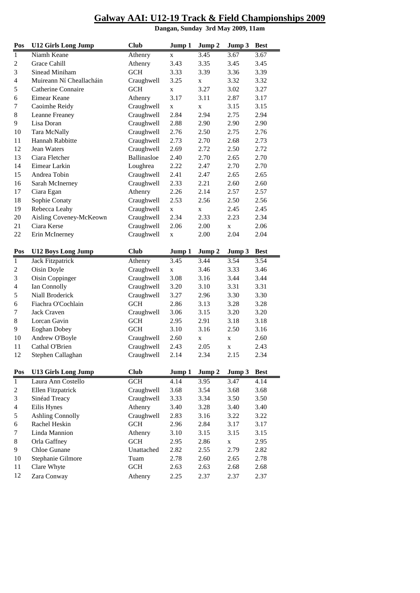**Pos U12 Girls Long Jump Club Jump 1 Jump 2 Jump 3 Best** Niamh Keane Athenry x 3.45 3.67 3.67 2 Grace Cahill Athenry 3.43 3.35 3.45 3.45 Sinead Miniham GCH 3.33 3.39 3.36 3.39 Muireann Ní Cheallacháin Craughwell 3.25 x 3.32 3.32 Catherine Connaire GCH x 3.27 3.02 3.27 Eimear Keane Athenry 3.17 3.11 2.87 3.17 7 Caoimhe Reidy Craughwell x x 3.15 3.15 Leanne Freaney Craughwell 2.84 2.94 2.75 2.94 Lisa Doran Craughwell 2.88 2.90 2.90 2.90 Tara McNally Craughwell 2.76 2.50 2.75 2.76 Hannah Rabbitte Craughwell 2.73 2.70 2.68 2.73 Jean Waters Craughwell 2.69 2.72 2.50 2.72 Ciara Fletcher Ballinasloe 2.40 2.70 2.65 2.70 Eimear Larkin Loughrea 2.22 2.47 2.70 2.70 Andrea Tobin Craughwell 2.41 2.47 2.65 2.65 Sarah McInerney Craughwell 2.33 2.21 2.60 2.60 Ciara Egan Athenry 2.26 2.14 2.57 2.57 Sophie Conaty Craughwell 2.53 2.56 2.50 2.56 19 Rebecca Leahy Craughwell x x 2.45 2.45 Aisling Coveney-McKeown Craughwell 2.34 2.33 2.23 2.34 Ciara Kerse Craughwell 2.06 2.00 x 2.06 Erin McInerney Craughwell x 2.00 2.04 2.04 **Pos U12 Boys Long Jump Club Jump 1 Jump 2 Jump 3 Best** Jack Fitzpatrick Athenry 3.45 3.44 3.54 3.54 2 Oisin Doyle Craughwell x 3.46 3.33 3.46 Oisin Coppinger Craughwell 3.08 3.16 3.44 3.44 Ian Connolly Craughwell 3.20 3.10 3.31 3.31 Niall Broderick Craughwell 3.27 2.96 3.30 3.30 Fiachra O'Cochlain GCH 2.86 3.13 3.28 3.28 Jack Craven Craughwell 3.06 3.15 3.20 3.20 Lorcan Gavin GCH 2.95 2.91 3.18 3.18 Eoghan Dobey GCH 3.10 3.16 2.50 3.16 10 Andrew O'Boyle Craughwell 2.60 x x 2.60 Cathal O'Brien Craughwell 2.43 2.05 x 2.43 Stephen Callaghan Craughwell 2.14 2.34 2.15 2.34 **Pos U13 Girls Long Jump Club Jump 1 Jump 2 Jump 3 Best** Laura Ann Costello GCH 4.14 3.95 3.47 4.14 Ellen Fitzpatrick Craughwell 3.68 3.54 3.68 3.68 Sinéad Treacy Craughwell 3.33 3.34 3.50 3.50 Eilis Hynes Athenry 3.40 3.28 3.40 3.40 Ashling Connolly Craughwell 2.83 3.16 3.22 3.22 Rachel Heskin GCH 2.96 2.84 3.17 3.17 Linda Mannion Athenry 3.10 3.15 3.15 3.15 8 Orla Gaffney GCH 2.95 2.86 x 2.95 Chloe Gunane Unattached 2.82 2.55 2.79 2.82 Stephanie Gilmore Tuam 2.78 2.60 2.65 2.78 Clare Whyte GCH 2.63 2.63 2.68 2.68 Zara Conway Athenry 2.25 2.37 2.37 2.37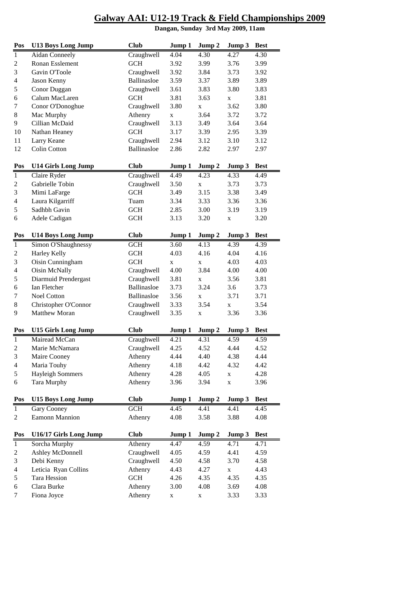| Pos                     | <b>U13 Boys Long Jump</b>  | <b>Club</b> | Jump 1      | Jump 2       | Jump 3      | <b>Best</b> |
|-------------------------|----------------------------|-------------|-------------|--------------|-------------|-------------|
| $\overline{1}$          | <b>Aidan Conneely</b>      | Craughwell  | 4.04        | 4.30         | 4.27        | 4.30        |
| $\overline{c}$          | Ronan Esslement            | <b>GCH</b>  | 3.92        | 3.99         | 3.76        | 3.99        |
| 3                       | Gavin O'Toole              | Craughwell  | 3.92        | 3.84         | 3.73        | 3.92        |
| 4                       | Jason Kenny                | Ballinasloe | 3.59        | 3.37         | 3.89        | 3.89        |
| 5                       | Conor Duggan               | Craughwell  | 3.61        | 3.83         | 3.80        | 3.83        |
| 6                       | Calum MacLaren             | <b>GCH</b>  | 3.81        | 3.63         | $\mathbf x$ | 3.81        |
| 7                       | Conor O'Donoghue           | Craughwell  | 3.80        | X            | 3.62        | 3.80        |
| 8                       | Mac Murphy                 | Athenry     | $\mathbf X$ | 3.64         | 3.72        | 3.72        |
| 9                       | Cillian McDaid             | Craughwell  | 3.13        | 3.49         | 3.64        | 3.64        |
| 10                      | Nathan Heaney              | <b>GCH</b>  | 3.17        | 3.39         | 2.95        | 3.39        |
| 11                      | Larry Keane                | Craughwell  | 2.94        | 3.12         | 3.10        | 3.12        |
| 12                      | <b>Colin Cotton</b>        | Ballinasloe | 2.86        | 2.82         | 2.97        | 2.97        |
|                         |                            |             |             |              |             |             |
| Pos                     | <b>U14 Girls Long Jump</b> | <b>Club</b> | Jump 1      | Jump 2       | Jump 3      | <b>Best</b> |
| $\,1\,$                 | Claire Ryder               | Craughwell  | 4.49        | 4.23         | 4.33        | 4.49        |
| $\overline{c}$          | Gabrielle Tobin            | Craughwell  | 3.50        | $\mathbf X$  | 3.73        | 3.73        |
| 3                       | Mimi LaFarge               | <b>GCH</b>  | 3.49        | 3.15         | 3.38        | 3.49        |
| $\overline{4}$          | Laura Kilgarriff           | Tuam        | 3.34        | 3.33         | 3.36        | 3.36        |
| 5                       | Sadhbh Gavin               | <b>GCH</b>  | 2.85        | 3.00         | 3.19        | 3.19        |
| 6                       | Adele Cadigan              | <b>GCH</b>  | 3.13        | 3.20         | $\mathbf X$ | 3.20        |
| Pos                     | <b>U14 Boys Long Jump</b>  | <b>Club</b> | Jump 1      | Jump 2       | Jump 3      | <b>Best</b> |
| $\mathbf{1}$            | Simon O'Shaughnessy        | <b>GCH</b>  | 3.60        | 4.13         | 4.39        | 4.39        |
| $\overline{\mathbf{c}}$ | <b>Harley Kelly</b>        | <b>GCH</b>  | 4.03        | 4.16         | 4.04        | 4.16        |
| 3                       | Oisin Cunningham           | <b>GCH</b>  | $\mathbf X$ | X            | 4.03        | 4.03        |
| 4                       | Oisin McNally              | Craughwell  | 4.00        | 3.84         | 4.00        | 4.00        |
| 5                       | Diarmuid Prendergast       | Craughwell  | 3.81        | $\mathbf{x}$ | 3.56        | 3.81        |
| 6                       | Ian Fletcher               | Ballinasloe | 3.73        | 3.24         | 3.6         | 3.73        |
| 7                       | Noel Cotton                | Ballinasloe | 3.56        | $\mathbf{x}$ | 3.71        | 3.71        |
| 8                       | Christopher O'Connor       | Craughwell  | 3.33        | 3.54         | X           | 3.54        |
| 9                       | <b>Matthew Moran</b>       | Craughwell  | 3.35        | X            | 3.36        | 3.36        |
| Pos                     | <b>U15 Girls Long Jump</b> | <b>Club</b> | Jump 1      | Jump 2       | Jump 3      | <b>Best</b> |
| $\overline{1}$          | Mairead McCan              | Craughwell  | 4.21        | 4.31         | 4.59        | 4.59        |
| $\overline{2}$          | Marie McNamara             | Craughwell  | 4.25        | 4.52         | 4.44        | 4.52        |
| 3                       | Maire Cooney               | Athenry     | 4.44        | 4.40         | 4.38        | 4.44        |
| $\overline{4}$          | Maria Touhy                | Athenry     | 4.18        | 4.42         | 4.32        | 4.42        |
| 5                       | <b>Hayleigh Sommers</b>    | Athenry     | 4.28        | 4.05         | $\mathbf X$ | 4.28        |
| 6                       | Tara Murphy                | Athenry     | 3.96        | 3.94         | $\mathbf X$ | 3.96        |
|                         |                            |             |             |              |             |             |
| Pos                     | <b>U15 Boys Long Jump</b>  | <b>Club</b> | Jump 1      | Jump 2       | Jump 3      | <b>Best</b> |
| $\mathbf{1}$            | Gary Cooney                | <b>GCH</b>  | 4.45        | 4.41         | 4.41        | 4.45        |
| $\overline{c}$          | Eamonn Mannion             | Athenry     | 4.08        | 3.58         | 3.88        | 4.08        |
| Pos                     | U16/17 Girls Long Jump     | <b>Club</b> | Jump 1      | Jump 2       | Jump 3      | <b>Best</b> |
| $\mathbf{1}$            | Sorcha Murphy              | Athenry     | 4.47        | 4.59         | 4.71        | 4.71        |
| 2                       | Ashley McDonnell           | Craughwell  | 4.05        | 4.59         | 4.41        | 4.59        |
| 3                       | Debi Kenny                 | Craughwell  | 4.50        | 4.58         | 3.70        | 4.58        |
| 4                       | Leticia Ryan Collins       | Athenry     | 4.43        | 4.27         | $\mathbf X$ | 4.43        |
| 5                       | Tara Hession               | <b>GCH</b>  | 4.26        | 4.35         | 4.35        | 4.35        |
| 6                       | Clara Burke                | Athenry     | 3.00        | 4.08         | 3.69        | 4.08        |
| 7                       | Fiona Joyce                | Athenry     | $\mathbf X$ | X            | 3.33        | 3.33        |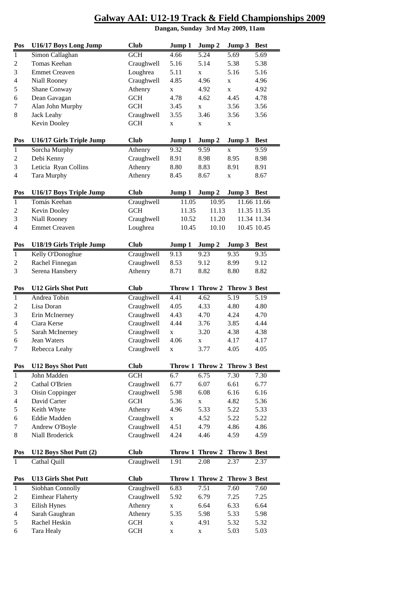| Pos            | U16/17 Boys Long Jump      | <b>Club</b> | Jump 1          | Jump 2 | Jump 3            | Best        |
|----------------|----------------------------|-------------|-----------------|--------|-------------------|-------------|
| $\mathbf{1}$   | Simon Callaghan            | <b>GCH</b>  | 4.66            | 5.24   | 5.69              | 5.69        |
| 2              | Tomas Keehan               | Craughwell  | 5.16            | 5.14   | 5.38              | 5.38        |
| $\mathfrak{Z}$ | <b>Emmet Creaven</b>       | Loughrea    | 5.11            | X      | 5.16              | 5.16        |
| 4              | Niall Rooney               | Craughwell  | 4.85            | 4.96   | X                 | 4.96        |
| 5              | Shane Conway               | Athenry     | $\mathbf X$     | 4.92   | $\mathbf x$       | 4.92        |
| 6              | Dean Gavagan               | <b>GCH</b>  | 4.78            | 4.62   | 4.45              | 4.78        |
| 7              | Alan John Murphy           | <b>GCH</b>  | 3.45            | X      | 3.56              | 3.56        |
| 8              | <b>Jack Leahy</b>          | Craughwell  | 3.55            | 3.46   | 3.56              | 3.56        |
|                | Kevin Dooley               | <b>GCH</b>  | $\mathbf X$     | X      | X                 |             |
| Pos            | U16/17 Girls Triple Jump   | <b>Club</b> | Jump 1          | Jump 2 | Jump 3            | <b>Best</b> |
| $\mathbf{1}$   | Sorcha Murphy              | Athenry     | 9.32            | 9.59   | X                 | 9.59        |
| $\overline{c}$ | Debi Kenny                 | Craughwell  | 8.91            | 8.98   | 8.95              | 8.98        |
| 3              | Leticia Ryan Collins       | Athenry     | 8.80            | 8.83   | 8.91              | 8.91        |
| $\overline{4}$ | Tara Murphy                | Athenry     | 8.45            | 8.67   | $\mathbf X$       | 8.67        |
| Pos            | U16/17 Boys Triple Jump    | <b>Club</b> | Jump 1          | Jump 2 | Jump 3            | <b>Best</b> |
| $\mathbf{1}$   | Tomás Keehan               | Craughwell  | 11.05           | 10.95  |                   | 11.66 11.66 |
| 2              | Kevin Dooley               | <b>GCH</b>  | 11.35           | 11.13  |                   | 11.35 11.35 |
| 3              | <b>Niall Rooney</b>        | Craughwell  | 10.52           | 11.20  |                   | 11.34 11.34 |
| 4              | <b>Emmet Creaven</b>       | Loughrea    | 10.45           | 10.10  |                   | 10.45 10.45 |
| Pos            | U18/19 Girls Triple Jump   | <b>Club</b> | Jump 1          | Jump 2 | Jump 3            | <b>Best</b> |
| $\,1\,$        | Kelly O'Donoghue           | Craughwell  | 9.13            | 9.23   | 9.35              | 9.35        |
| $\overline{c}$ | Rachel Finnegan            | Craughwell  | 8.53            | 9.12   | 8.99              | 9.12        |
| 3              | Serena Hansbery            | Athenry     | 8.71            | 8.82   | 8.80              | 8.82        |
| Pos            | <b>U12 Girls Shot Putt</b> | <b>Club</b> | Throw 1 Throw 2 |        | Throw 3 Best      |             |
| $\mathbf{1}$   | Andrea Tobin               | Craughwell  | 4.41            | 4.62   | $\overline{5.19}$ | 5.19        |
| 2              | Lisa Doran                 | Craughwell  | 4.05            | 4.33   | 4.80              | 4.80        |
| 3              | Erin McInerney             | Craughwell  | 4.43            | 4.70   | 4.24              | 4.70        |
| $\overline{4}$ | Ciara Kerse                | Craughwell  | 4.44            | 3.76   | 3.85              | 4.44        |
| 5              | Sarah McInerney            | Craughwell  | $\mathbf X$     | 3.20   | 4.38              | 4.38        |
| 6              | <b>Jean Waters</b>         | Craughwell  | 4.06            | X      | 4.17              | 4.17        |
| 7              | Rebecca Leahy              | Craughwell  | $\mathbf X$     | 3.77   | 4.05              | 4.05        |
| Pos            | <b>U12 Boys Shot Putt</b>  | <b>Club</b> | Throw 1 Throw 2 |        | Throw 3 Best      |             |
| $\mathbf{1}$   | John Madden                | <b>GCH</b>  | 6.7             | 6.75   | 7.30              | 7.30        |
| 2              | Cathal O'Brien             | Craughwell  | 6.77            | 6.07   | 6.61              | 6.77        |
| 3              | Oisin Coppinger            | Craughwell  | 5.98            | 6.08   | 6.16              | 6.16        |
| 4              | David Carter               | <b>GCH</b>  | 5.36            | X      | 4.82              | 5.36        |
| 5              | Keith Whyte                | Athenry     | 4.96            | 5.33   | 5.22              | 5.33        |
| 6              | Eddie Madden               | Craughwell  | $\mathbf X$     | 4.52   | 5.22              | 5.22        |
| 7              | Andrew O'Boyle             | Craughwell  | 4.51            | 4.79   | 4.86              | 4.86        |
| 8              | Niall Broderick            | Craughwell  | 4.24            | 4.46   | 4.59              | 4.59        |
| Pos            | U12 Boys Shot Putt (2)     | <b>Club</b> | Throw 1 Throw 2 |        | Throw 3 Best      |             |
| 1              | Cathal Quill               | Craughwell  | 1.91            | 2.08   | 2.37              | 2.37        |
| Pos            | <b>U13 Girls Shot Putt</b> | <b>Club</b> | Throw 1 Throw 2 |        | Throw 3 Best      |             |
| 1              | Siobhan Connolly           | Craughwell  | 6.83            | 7.51   | 7.60              | 7.60        |
| 2              | <b>Eimhear Flaherty</b>    | Craughwell  | 5.92            | 6.79   | 7.25              | 7.25        |
| 3              | Eilish Hynes               | Athenry     | $\mathbf x$     | 6.64   | 6.33              | 6.64        |
| 4              | Sarah Gaughran             | Athenry     | 5.35            | 5.98   | 5.33              | 5.98        |
| 5              | Rachel Heskin              | <b>GCH</b>  | X               | 4.91   | 5.32              | 5.32        |
| 6              | Tara Healy                 | <b>GCH</b>  | $\mathbf X$     | X      | 5.03              | 5.03        |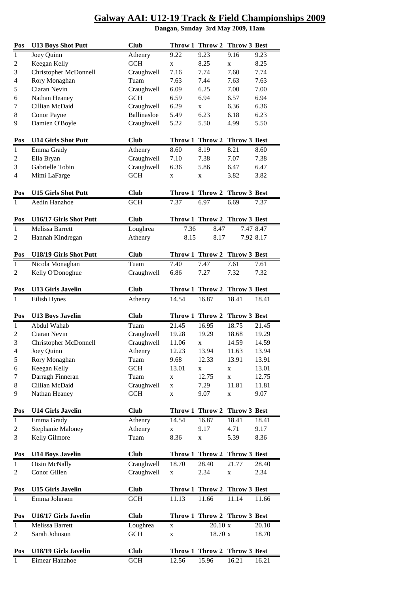|                         |                                                                 |             | <u>Galway AAL. UT2-19 TTack &amp; Field Champions</u><br>Dangan, Sunday 3rd May 2009, 11am |                              |              |           |  |  |  |  |
|-------------------------|-----------------------------------------------------------------|-------------|--------------------------------------------------------------------------------------------|------------------------------|--------------|-----------|--|--|--|--|
| Pos                     | <b>U13 Boys Shot Putt</b>                                       | <b>Club</b> |                                                                                            | Throw 1 Throw 2              | Throw 3 Best |           |  |  |  |  |
| 1                       | Joey Quinn                                                      | Athenry     | 9.22                                                                                       | 9.23                         | 9.16         | 9.23      |  |  |  |  |
| $\overline{\mathbf{c}}$ | Keegan Kelly                                                    | <b>GCH</b>  | $\mathbf X$                                                                                | 8.25                         | $\mathbf X$  | 8.25      |  |  |  |  |
| 3                       | Christopher McDonnell                                           | Craughwell  | 7.16                                                                                       | 7.74                         | 7.60         | 7.74      |  |  |  |  |
| 4                       | Rory Monaghan                                                   | Tuam        | 7.63                                                                                       | 7.44                         | 7.63         | 7.63      |  |  |  |  |
| 5                       | Ciaran Nevin                                                    | Craughwell  | 6.09                                                                                       | 6.25                         | 7.00         | 7.00      |  |  |  |  |
| 6                       | Nathan Heaney                                                   | <b>GCH</b>  | 6.59                                                                                       | 6.94                         | 6.57         | 6.94      |  |  |  |  |
| 7                       | Cillian McDaid                                                  | Craughwell  | 6.29                                                                                       | $\mathbf{X}$                 | 6.36         | 6.36      |  |  |  |  |
| 8                       | Conor Payne                                                     | Ballinasloe | 5.49                                                                                       | 6.23                         | 6.18         | 6.23      |  |  |  |  |
| 9                       | Damien O'Boyle                                                  | Craughwell  | 5.22                                                                                       | 5.50                         | 4.99         | 5.50      |  |  |  |  |
| Pos                     | <b>U14 Girls Shot Putt</b>                                      | <b>Club</b> |                                                                                            | Throw 1 Throw 2              | Throw 3 Best |           |  |  |  |  |
| 1                       | Emma Grady                                                      | Athenry     | 8.60                                                                                       | 8.19                         | 8.21         | 8.60      |  |  |  |  |
| $\overline{c}$          | Ella Bryan                                                      | Craughwell  | 7.10                                                                                       | 7.38                         | 7.07         | 7.38      |  |  |  |  |
| 3                       | Gabrielle Tobin                                                 | Craughwell  | 6.36                                                                                       | 5.86                         | 6.47         | 6.47      |  |  |  |  |
| 4                       | Mimi LaFarge                                                    | <b>GCH</b>  | $\mathbf x$                                                                                | $\mathbf X$                  | 3.82         | 3.82      |  |  |  |  |
| Pos                     | <b>U15 Girls Shot Putt</b>                                      | <b>Club</b> |                                                                                            | Throw 1 Throw 2              | Throw 3 Best |           |  |  |  |  |
| 1                       | Aedin Hanahoe                                                   | <b>GCH</b>  | 7.37                                                                                       | 6.97                         | 6.69         | 7.37      |  |  |  |  |
| Pos                     | U16/17 Girls Shot Putt                                          | <b>Club</b> |                                                                                            | Throw 1 Throw 2 Throw 3 Best |              |           |  |  |  |  |
| 1                       | <b>Melissa Barrett</b>                                          | Loughrea    | 7.36                                                                                       | 8.47                         |              | 7.47 8.47 |  |  |  |  |
| $\overline{c}$          | Hannah Kindregan                                                | Athenry     | 8.15                                                                                       | 8.17                         |              | 7.92 8.17 |  |  |  |  |
| Pos                     | U18/19 Girls Shot Putt                                          | <b>Club</b> |                                                                                            | Throw 1 Throw 2              | Throw 3 Best |           |  |  |  |  |
| $\mathbf{1}$            | Nicola Monaghan                                                 | Tuam        | 7.40                                                                                       | 7.47                         | 7.61         | 7.61      |  |  |  |  |
| $\overline{c}$          | Kelly O'Donoghue                                                | Craughwell  | 6.86                                                                                       | 7.27                         | 7.32         | 7.32      |  |  |  |  |
| Pos                     | <b>U13 Girls Javelin</b>                                        | <b>Club</b> |                                                                                            | Throw 1 Throw 2              | Throw 3 Best |           |  |  |  |  |
| 1                       | Eilish Hynes                                                    | Athenry     | 14.54                                                                                      | 16.87                        | 18.41        | 18.41     |  |  |  |  |
| Pos                     | <b>U13 Boys Javelin</b>                                         | <b>Club</b> |                                                                                            | Throw 1 Throw 2              | Throw 3 Best |           |  |  |  |  |
| $\mathbf{1}$            | Abdul Wahab                                                     | Tuam        | 21.45                                                                                      | 16.95                        | 18.75        | 21.45     |  |  |  |  |
| $\overline{\mathbf{c}}$ | Ciaran Nevin                                                    | Craughwell  | 19.28                                                                                      | 19.29                        | 18.68        | 19.29     |  |  |  |  |
| 3                       | Christopher McDonnell                                           | Craughwell  | 11.06                                                                                      | $\mathbf X$                  | 14.59        | 14.59     |  |  |  |  |
| 4                       | Joey Quinn                                                      | Athenry     | 12.23                                                                                      | 13.94                        | 11.63        | 13.94     |  |  |  |  |
| $\overline{a}$          | $\mathbf{D}$ and $\mathbf{M}$ and $\mathbf{L}$ and $\mathbf{L}$ |             | 0 <sub>0</sub>                                                                             | 10.22                        | 12.01        | 1201      |  |  |  |  |

| $\mathbf{1}$            | Emma Grady                 | Athenry              | 8.60        | 8.19                         | 8.21                | 8.60      |
|-------------------------|----------------------------|----------------------|-------------|------------------------------|---------------------|-----------|
| $\overline{\mathbf{c}}$ | Ella Bryan                 | Craughwell           | 7.10        | 7.38                         | 7.07                | 7.38      |
| 3                       | Gabrielle Tobin            | Craughwell           | 6.36        | 5.86                         | 6.47                | 6.47      |
| 4                       | Mimi LaFarge               | $\operatorname{GCH}$ | X           | $\mathbf X$                  | 3.82                | 3.82      |
|                         |                            |                      |             |                              |                     |           |
| Pos                     | <b>U15 Girls Shot Putt</b> | <b>Club</b>          |             | Throw 1 Throw 2              | <b>Throw 3 Best</b> |           |
| $\mathbf{1}$            | Aedin Hanahoe              | <b>GCH</b>           | 7.37        | 6.97                         | 6.69                | 7.37      |
|                         |                            |                      |             |                              |                     |           |
| Pos                     | U16/17 Girls Shot Putt     | <b>Club</b>          |             | Throw 1 Throw 2 Throw 3 Best |                     |           |
| $\mathbf{1}$            | Melissa Barrett            | Loughrea             | 7.36        | 8.47                         |                     | 7.47 8.47 |
| $\overline{c}$          | Hannah Kindregan           | Athenry              | 8.15        | 8.17                         |                     | 7.92 8.17 |
|                         |                            |                      |             |                              |                     |           |
| Pos                     | U18/19 Girls Shot Putt     | <b>Club</b>          |             | Throw 1 Throw 2              | Throw 3 Best        |           |
| $\overline{1}$          | Nicola Monaghan            | Tuam                 | 7.40        | 7.47                         | 7.61                | 7.61      |
| $\overline{\mathbf{c}}$ | Kelly O'Donoghue           | Craughwell           | 6.86        | 7.27                         | 7.32                | 7.32      |
|                         |                            |                      |             |                              |                     |           |
| Pos                     | <b>U13 Girls Javelin</b>   | <b>Club</b>          |             | Throw 1 Throw 2              | Throw 3 Best        |           |
| 1                       | Eilish Hynes               | Athenry              | 14.54       | 16.87                        | 18.41               | 18.41     |
|                         |                            |                      |             |                              |                     |           |
| Pos                     | <b>U13 Boys Javelin</b>    | <b>Club</b>          |             | Throw 1 Throw 2              | Throw 3 Best        |           |
| $\mathbf{1}$            | Abdul Wahab                | Tuam                 | 21.45       | 16.95                        | 18.75               | 21.45     |
| $\overline{\mathbf{c}}$ | Ciaran Nevin               | Craughwell           | 19.28       | 19.29                        | 18.68               | 19.29     |
| 3                       | Christopher McDonnell      | Craughwell           | 11.06       | X                            | 14.59               | 14.59     |
| 4                       | Joey Quinn                 | Athenry              | 12.23       | 13.94                        | 11.63               | 13.94     |
| 5                       | Rory Monaghan              | Tuam                 | 9.68        | 12.33                        | 13.91               | 13.91     |
| 6                       | Keegan Kelly               | <b>GCH</b>           | 13.01       | X                            | $\mathbf X$         | 13.01     |
| 7                       | Darragh Finneran           | Tuam                 | X           | 12.75                        | $\mathbf x$         | 12.75     |
| 8                       | Cillian McDaid             | Craughwell           | X           | 7.29                         | 11.81               | 11.81     |
| 9                       | Nathan Heaney              | <b>GCH</b>           | X           | 9.07                         | X                   | 9.07      |
| Pos                     | <b>U14 Girls Javelin</b>   | <b>Club</b>          |             | Throw 1 Throw 2              | Throw 3 Best        |           |
| $\mathbf{1}$            | Emma Grady                 | Athenry              | 14.54       | 16.87                        | 18.41               | 18.41     |
| $\overline{\mathbf{c}}$ | <b>Stephanie Maloney</b>   | Athenry              | $\mathbf X$ | 9.17                         | 4.71                | 9.17      |
| 3                       | Kelly Gilmore              | Tuam                 | 8.36        | $\mathbf X$                  | 5.39                | 8.36      |
|                         |                            |                      |             |                              |                     |           |
| Pos                     | <b>U14 Boys Javelin</b>    | <b>Club</b>          |             | Throw 1 Throw 2 Throw 3 Best |                     |           |
| $\overline{1}$          | Oisin McNally              | Craughwell           | 18.70       | 28.40                        | 21.77               | 28.40     |
| $\overline{\mathbf{c}}$ | Conor Gillen               | Craughwell           | X           | 2.34                         | X                   | 2.34      |
|                         |                            |                      |             |                              |                     |           |
| Pos                     | <b>U15 Girls Javelin</b>   | <b>Club</b>          |             | Throw 1 Throw 2 Throw 3 Best |                     |           |
| $\mathbf{1}$            | Emma Johnson               | <b>GCH</b>           | 11.13       | 11.66                        | 11.14               | 11.66     |
|                         |                            |                      |             |                              |                     |           |
| Pos                     | U16/17 Girls Javelin       | <b>Club</b>          |             | Throw 1 Throw 2 Throw 3 Best |                     |           |
| $\mathbf{1}$            | Melissa Barrett            | Loughrea             | X           | 20.10 x                      |                     | 20.10     |
| $\overline{\mathbf{c}}$ | Sarah Johnson              | <b>GCH</b>           | X           | 18.70 x                      |                     | 18.70     |
|                         |                            |                      |             |                              |                     |           |
| Pos                     | U18/19 Girls Javelin       | <b>Club</b>          |             | Throw 1 Throw 2 Throw 3 Best |                     |           |
| 1                       | Eimear Hanahoe             | <b>GCH</b>           | 12.56       | 15.96                        | 16.21               | 16.21     |
|                         |                            |                      |             |                              |                     |           |
|                         |                            |                      |             |                              |                     |           |
|                         |                            |                      |             |                              |                     |           |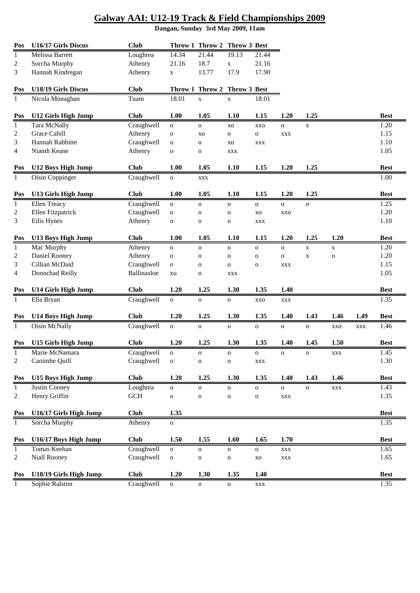| Pos          | U16/17 Girls Discus        | <b>Club</b>           |                | Throw 1 Throw 2 | Throw 3 Best |              |                |              |                |            |             |
|--------------|----------------------------|-----------------------|----------------|-----------------|--------------|--------------|----------------|--------------|----------------|------------|-------------|
| $\mathbf{1}$ | Melissa Barrett            | Loughrea              | 14.34          | 21.44           | 19.13        | 21.44        |                |              |                |            |             |
| 2            | Sorcha Murphy              | Athenry               | 21.16          | 18.7            | $\mathbf X$  | 21.16        |                |              |                |            |             |
| 3            | Hannah Kindregan           | Athenry               | $\mathbf X$    | 13.77           | 17.9         | 17.90        |                |              |                |            |             |
| Pos          | U18/19 Girls Discus        | <b>Club</b>           |                | Throw 1 Throw 2 | Throw 3 Best |              |                |              |                |            |             |
| 1            | Nicola Monaghan            | Tuam                  | 18.01          | $\mathbf X$     | X            | 18.01        |                |              |                |            |             |
| Pos          | <b>U12 Girls High Jump</b> | <b>Club</b>           | 1.00           | 1.05            | 1.10         | 1.15         | 1.20           | 1.25         |                |            | <b>Best</b> |
|              | Tara McNally               | Craughwell            |                |                 |              |              |                |              |                |            | 1.20        |
| $\mathbf{1}$ | <b>Grace Cahill</b>        | Athenry               | $\mathbf O$    | $\mathbf O$     | XO           | <b>XXO</b>   | $\mathbf O$    | $\mathbf X$  |                |            |             |
| 2            |                            |                       | $\mathbf O$    | XO              | $\mathbf{o}$ | ${\bf O}$    | <b>XXX</b>     |              |                |            | 1.15        |
| 3            | Hannah Rabbitte            | Craughwell            | $\mathbf O$    | $\mathbf{O}$    | XO           | <b>XXX</b>   |                |              |                |            | 1.10        |
| 4            | Niamh Keane                | Athenry               | $\mathbf O$    | $\mathbf{o}$    | <b>XXX</b>   |              |                |              |                |            | 1.05        |
| Pos          | <b>U12 Boys High Jump</b>  | <b>Club</b>           | 1.00           | 1.05            | 1.10         | 1.15         | 1.20           | 1.25         |                |            | <b>Best</b> |
| $\mathbf{1}$ | Oisin Coppinger            | Craughwell            | $\mathbf 0$    | <b>XXX</b>      |              |              |                |              |                |            | 1.00        |
| Pos          | <b>U13 Girls High Jump</b> | <b>Club</b>           | 1.00           | 1.05            | 1.10         | 1.15         | 1.20           | 1.25         |                |            | <b>Best</b> |
| $\mathbf{1}$ | <b>Ellen Treacy</b>        | Craughwell            | $\mathbf O$    | $\mathbf{o}$    | $\mathbf 0$  | ${\bf O}$    | $\mathbf{o}$   | $\mathbf O$  |                |            | 1.25        |
| 2            | Ellen Fitzpatrick          | Craughwell            | $\mathbf O$    | $\mathbf{o}$    | $\mathbf 0$  | <b>XO</b>    | <b>XXO</b>     |              |                |            | 1.20        |
| 3            | Eilis Hynes                | Athenry               | ${\bf O}$      | $\mathbf 0$     | $\mathbf 0$  | <b>XXX</b>   |                |              |                |            | 1.10        |
|              |                            |                       |                |                 |              |              |                |              |                |            |             |
| Pos          | <b>U13 Boys High Jump</b>  | <b>Club</b>           | 1.00           | 1.05            | 1.10         | 1.15         | 1.20           | 1.25         | 1.20           |            | <b>Best</b> |
| $\mathbf{1}$ | Mac Murphy                 | $\overline{A}$ thenry | $\mathbf O$    | $\mathbf{o}$    | $\mathbf{o}$ | $\mathbf O$  | ${\bf O}$      | $\mathbf X$  | $\mathbf X$    |            | 1.20        |
| 2            | Daniel Rooney              | Athenry               | $\mathbf O$    | $\mathbf{o}$    | $\mathbf 0$  | ${\bf O}$    | $\mathbf O$    | $\mathbf X$  | $\mathbf{o}$   |            | 1.20        |
| 3            | Cillian McDaid             | Craughwell            | $\mathbf O$    | $\mathbf 0$     | $\mathbf{o}$ | $\mathbf O$  | <b>XXX</b>     |              |                |            | 1.15        |
| 4            | Donnchad Reilly            | Ballinasloe           | XO             | $\mathbf{o}$    | <b>XXX</b>   |              |                |              |                |            | 1.05        |
| Pos          | <b>U14 Girls High Jump</b> | <b>Club</b>           | 1.20           | 1.25            | 1.30         | 1.35         | 1.40           |              |                |            | <b>Best</b> |
| $\mathbf{1}$ | Ella Bryan                 | Craughwell            | $\mathbf{o}$   | $\mathbf{o}$    | $\mathbf O$  | <b>XXO</b>   | <b>XXX</b>     |              |                |            | 1.35        |
|              |                            |                       |                |                 |              |              |                |              |                |            |             |
| Pos          | <b>U14 Boys High Jump</b>  | <b>Club</b>           | 1.20           | 1.25            | 1.30         | 1.35         | 1.40           | 1.43         | 1.46           | 1.49       | <b>Best</b> |
| $\mathbf{1}$ | Oisin McNally              | Craughwell            | $\overline{O}$ | $\mathbf{o}$    | $\mathbf{o}$ | $\mathbf{o}$ | $\mathbf 0$    | $\mathbf{o}$ | <b>XXO</b>     | <b>XXX</b> | 1.46        |
| Pos          | <b>U15 Girls High Jump</b> | <b>Club</b>           | 1.20           | 1.25            | 1.30         | 1.35         | 1.40           | 1.45         | 1.50           |            | <b>Best</b> |
| $\mathbf{I}$ | Marie McNamara             | Craughwell            | $\mathbf{o}$   | $\mathbf{o}$    | $\mathbf o$  |              |                | $\mathbf{o}$ | <b>XXX</b>     |            | 1.45        |
| 2            | Caoimhe Quill              | Craughwell            | $\mathbf O$    | $\mathbf O$     | $\mathbf O$  | <b>XXX</b>   |                |              |                |            | 1.30        |
|              |                            |                       |                |                 |              |              |                |              |                |            |             |
| Pos          | <b>U15 Boys High Jump</b>  | <b>Club</b>           | 1.20           | 1.25            | 1.30         | 1.35         | 1.40           | 1.43         | 1.46           |            | <b>Best</b> |
| $\mathbf{1}$ | Justin Cooney              | Loughrea              | $\mathbf{O}$   | $\mathbf O$     | $\mathbf{o}$ | ${\bf O}$    | $\mathbf O$    | $\mathbf{o}$ | $\mathbf{XXX}$ |            | 1.43        |
| 2            | Henry Griffin              | $GCH$                 | $\mathbf O$    | $\mathbf{o}$    | $\mathbf O$  | ${\bf O}$    | <b>XXX</b>     |              |                |            | 1.35        |
| Pos          | U16/17 Girls High Jump     | <b>Club</b>           | 1.35           |                 |              |              |                |              |                |            | <b>Best</b> |
| $\mathbf{1}$ | Sorcha Murphy              | Athenry               | $\mathbf 0$    |                 |              |              |                |              |                |            | 1.35        |
| Pos          | U16/17 Boys High Jump      | <b>Club</b>           | 1.50           | 1.55            | 1.60         | 1.65         | 1.70           |              |                |            | <b>Best</b> |
| $\mathbf{1}$ | Tomas Keehan               | Craughwell            | $\mathbf{o}$   | $\mathbf O$     | $\mathbf O$  | ${\bf O}$    | $\mathbf{XXX}$ |              |                |            | 1.65        |
| 2            | Niall Rooney               | Craughwell            | $\mathbf O$    | $\mathbf 0$     | $\mathbf O$  | XO           | XXX            |              |                |            | 1.65        |
|              |                            |                       |                |                 |              |              |                |              |                |            |             |
| Pos          | U18/19 Girls High Jump     | <b>Club</b>           | 1.20           | 1.30            | 1.35         | 1.40         |                |              |                |            | <b>Best</b> |
| 1            | Sophie Ralston             | Craughwell            | $\mathbf{O}$   | $\mathbf{O}$    | 0            | <b>XXX</b>   |                |              |                |            | 1.35        |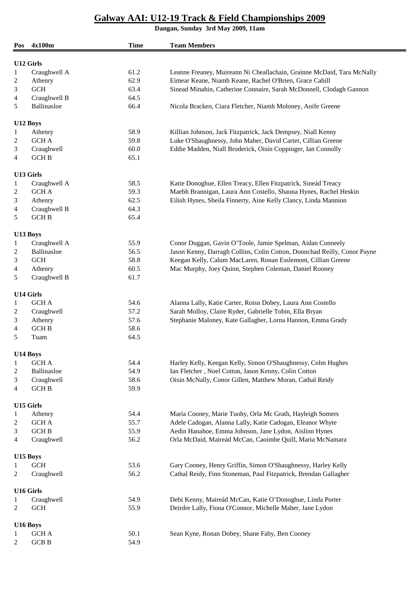**Dangan, Sunday 3rd May 2009, 11am**

L.

| Pos            | 4x100m           | <b>Time</b> | <b>Team Members</b>                                                      |  |  |
|----------------|------------------|-------------|--------------------------------------------------------------------------|--|--|
| U12 Girls      |                  |             |                                                                          |  |  |
| 1              | Craughwell A     | 61.2        | Leanne Freaney, Muireann Ni Cheallachain, Grainne McDaid, Tara McNally   |  |  |
| 2              | Athenry          | 62.9        | Eimear Keane, Niamh Keane, Rachel O'Brien, Grace Cahill                  |  |  |
| 3              | <b>GCH</b>       | 63.4        | Sinead Minahin, Catherine Connaire, Sarah McDonnell, Clodagh Gannon      |  |  |
| 4              | Craughwell B     | 64.5        |                                                                          |  |  |
| 5              | Ballinasloe      | 66.4        | Nicola Bracken, Ciara Fletcher, Niamh Moloney, Aoife Greene              |  |  |
|                |                  |             |                                                                          |  |  |
|                | U12 Boys         |             |                                                                          |  |  |
| 1              | Athenry          | 58.9        | Killian Johnson, Jack Fitzpatrick, Jack Dempsey, Niall Kenny             |  |  |
| 2              | <b>GCH A</b>     | 59.8        | Luke O'Shaughnessy, John Maher, David Carter, Cillian Greene             |  |  |
| 3              | Craughwell       | 60.0        | Eddie Madden, Niall Broderick, Oisin Coppinger, Ian Connolly             |  |  |
| 4              | <b>GCHB</b>      | 65.1        |                                                                          |  |  |
|                | U13 Girls        |             |                                                                          |  |  |
| 1              | Craughwell A     | 58.5        | Katie Donoghue, Ellen Treacy, Ellen Fitzpatrick, Sineád Treacy           |  |  |
| 2              | <b>GCH A</b>     | 59.3        | Maebh Brannigan, Laura Ann Costello, Shauna Hynes, Rachel Heskin         |  |  |
| 3              | Athenry          | 62.5        | Eilish Hynes, Sheila Finnerty, Aine Kelly Clancy, Linda Mannion          |  |  |
| $\overline{4}$ | Craughwell B     | 64.3        |                                                                          |  |  |
| 5              | <b>GCHB</b>      | 65.4        |                                                                          |  |  |
| U13 Boys       |                  |             |                                                                          |  |  |
| $\mathbf{1}$   | Craughwell A     | 55.9        | Conor Duggan, Gavin O'Toole, Jamie Spelman, Aidan Conneely               |  |  |
| 2              | Ballinasloe      | 56.5        | Jason Kenny, Darragh Collins, Colin Cotton, Donnchad Reilly, Conor Payne |  |  |
| 3              | <b>GCH</b>       | 58.8        | Keegan Kelly, Calum MacLaren, Ronan Esslemont, Cillian Greene            |  |  |
|                |                  | 60.5        |                                                                          |  |  |
| 4              | Athenry          |             | Mac Murphy, Joey Quinn, Stephen Coleman, Daniel Rooney                   |  |  |
| 5              | Craughwell B     | 61.7        |                                                                          |  |  |
| U14 Girls      |                  |             |                                                                          |  |  |
| $\mathbf{1}$   | <b>GCH A</b>     | 54.6        | Alanna Lally, Katie Carter, Roisn Dobey, Laura Ann Costello              |  |  |
| 2              | Craughwell       | 57.2        | Sarah Molloy, Claire Ryder, Gabrielle Tobin, Ella Bryan                  |  |  |
| 3              | Athenry          | 57.6        | Stephanie Maloney, Kate Gallagher, Lorna Hannon, Emma Grady              |  |  |
| 4              | <b>GCH B</b>     | 58.6        |                                                                          |  |  |
| 5              | Tuam             | 64.5        |                                                                          |  |  |
| U14 Boys       |                  |             |                                                                          |  |  |
| 1              | <b>GCH A</b>     | 54.4        | Harley Kelly, Keegan Kelly, Simon O'Shaughnessy, Colm Hughes             |  |  |
| 2              | Ballinasloe      | 54.9        | Ian Fletcher, Noel Cotton, Jason Kenny, Colin Cotton                     |  |  |
| 3              | Craughwell       | 58.6        | Oisin McNally, Conor Gillen, Matthew Moran, Cathal Reidy                 |  |  |
| 4              | <b>GCHB</b>      | 59.9        |                                                                          |  |  |
|                |                  |             |                                                                          |  |  |
|                | <b>U15 Girls</b> |             |                                                                          |  |  |
| $\mathbf{1}$   | Athenry          | 54.4        | Maria Cooney, Marie Tuohy, Orla Mc Grath, Hayleigh Somers                |  |  |
| 2              | <b>GCH A</b>     | 55.7        | Adele Cadogan, Alanna Lally, Katie Cadogan, Eleanor Whyte                |  |  |
| 3              | <b>GCH B</b>     | 55.9        | Aedin Hanahoe, Emma Johnson, Jane Lydon, Aislinn Hynes                   |  |  |
| 4              | Craughwell       | 56.2        | Orla McDaid, Maireád McCan, Caoimhe Quill, Maria McNamara                |  |  |
|                | U15 Boys         |             |                                                                          |  |  |
| 1              | <b>GCH</b>       | 53.6        | Gary Cooney, Henry Griffin, Simon O'Shaughnessy, Harley Kelly            |  |  |
| 2              | Craughwell       | 56.2        | Cathal Reidy, Finn Stoneman, Paul Fitzpatrick, Brendan Gallagher         |  |  |
|                | <b>U16 Girls</b> |             |                                                                          |  |  |
| 1              | Craughwell       | 54.9        | Debi Kenny, Maireád McCan, Katie O'Donoghue, Linda Porter                |  |  |
| 2              | <b>GCH</b>       | 55.9        | Deirdre Lally, Fiona O'Connor, Michelle Maher, Jane Lydon                |  |  |
|                |                  |             |                                                                          |  |  |
| U16 Boys       |                  |             |                                                                          |  |  |
| 1              | <b>GCH A</b>     | 50.1        | Sean Kyne, Ronan Dobey, Shane Fahy, Ben Cooney                           |  |  |
| 2              | <b>GCB B</b>     | 54.9        |                                                                          |  |  |